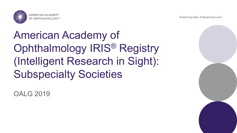Protecting Sight. Empowering Lives.®



## American Academy of Ophthalmology IRIS® Registry (Intelligent Research in Sight): Subspecialty Societies

OALG 2019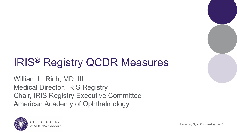# IRIS® Registry QCDR Measures

William L. Rich, MD, III Medical Director, IRIS Registry Chair, IRIS Registry Executive Committee American Academy of Ophthalmology

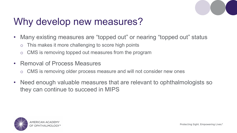

#### Why develop new measures?

- Many existing measures are "topped out" or nearing "topped out" status
	- o This makes it more challenging to score high points
	- o CMS is removing topped out measures from the program
- Removal of Process Measures
	- o CMS is removing older process measure and will not consider new ones
- Need enough valuable measures that are relevant to ophthalmologists so they can continue to succeed in MIPS

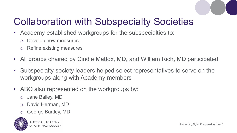

### Collaboration with Subspecialty Societies

- Academy established workgroups for the subspecialties to:
	- o Develop new measures
	- o Refine existing measures
- All groups chaired by Cindie Mattox, MD, and William Rich, MD participated
- Subspecialty society leaders helped select representatives to serve on the workgroups along with Academy members
- ABO also represented on the workgroups by:
	- o Jane Bailey, MD
	- o David Herman, MD
	- George Bartley, MD

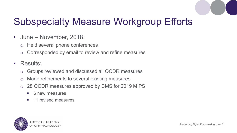

### Subspecialty Measure Workgroup Efforts

- June November, 2018:
	- o Held several phone conferences
	- o Corresponded by email to review and refine measures
- Results:
	- o Groups reviewed and discussed all QCDR measures
	- o Made refinements to several existing measures
	- o 28 QCDR measures approved by CMS for 2019 MIPS
		- 6 new measures
		- **11 revised measures**

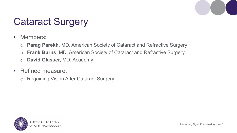

#### Cataract Surgery

- Members:
	- o **Parag Parekh**, MD, American Society of Cataract and Refractive Surgery
	- o **Frank Burns**, MD, American Society of Cataract and Refractive Surgery
	- o **David Glasser,** MD, Academy
- Refined measure:
	- o Regaining Vision After Cataract Surgery

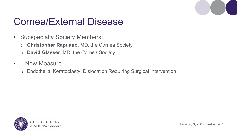#### Cornea/External Disease

- Subspecialty Society Members:
	- o **Christopher Rapuano**, MD, the Cornea Society
	- o **David Glasser**, MD, the Cornea Society
- 1 New Measure
	- o Endothelial Keratoplasty: Dislocation Requiring Surgical Intervention

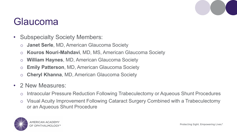#### Glaucoma

- Subspecialty Society Members:
	- o **Janet Serle**, MD, American Glaucoma Society
	- o **Kouros Nouri-Mahdavi**, MD, MS, American Glaucoma Society
	- o **William Haynes**, MD, American Glaucoma Society
	- o **Emily Patterson**, MD, American Glaucoma Society
	- o **Cheryl Khanna**, MD, American Glaucoma Society
- 2 New Measures:
	- o Intraocular Pressure Reduction Following Trabeculectomy or Aqueous Shunt Procedures
	- o Visual Acuity Improvement Following Cataract Surgery Combined with a Trabeculectomy or an Aqueous Shunt Procedure

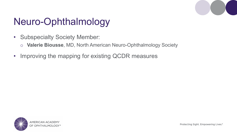

#### Neuro-Ophthalmology

- Subspecialty Society Member:
	- o **Valerie Biousse**, MD, North American Neuro-Ophthalmology Society
- Improving the mapping for existing QCDR measures

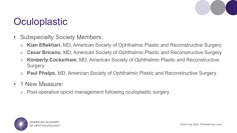#### **Oculoplastic**

- Subspecialty Society Members:
	- o **Kian Eftekhari**, MD, American Society of Ophthalmic Plastic and Reconstructive Surgery
	- o **Cesar Briceno**, MD, American Society of Ophthalmic Plastic and Reconstructive Surgery
	- o **Kimberly Cockerham**, MD, American Society of Ophthalmic Plastic and Reconstructive **Surgery**
	- o **Paul Phelps**, MD, American Society of Ophthalmic Plastic and Reconstructive Surgery
- 1 New Measure:
	- o Post-operative opioid management following oculoplastic surgery

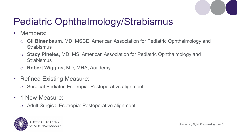

### Pediatric Ophthalmology/Strabismus

- Members:
	- o **Gil Binenbaum**, MD, MSCE, American Association for Pediatric Ophthalmology and **Strabismus**
	- o **Stacy Pineles**, MD, MS, American Association for Pediatric Ophthalmology and **Strabismus**
	- o **Robert Wiggins,** MD, MHA, Academy
- Refined Existing Measure:
	- o Surgical Pediatric Esotropia: Postoperative alignment
- 1 New Measure:
	- o Adult Surgical Esotropia: Postoperative alignment

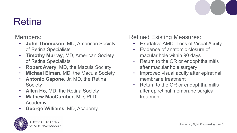

#### Retina

Members:

- **John Thompson**, MD, American Society of Retina Specialists
- **Timothy Murray**, MD, American Society of Retina Specialists
- **Robert Avery**, MD, the Macula Society
- **Michael Elman**, MD, the Macula Society
- **Antonio Capone**, Jr, MD, the Retina **Society**
- **Allen Ho**, MD, the Retina Society
- **Mathew MacCumber**, MD, PhD, Academy
- **George Williams**, MD, Academy

**MERICAN ACADEMY** OPHTHALMOI

Refined Existing Measures:

- **Exudative AMD- Loss of Visual Acuity**
- Evidence of anatomic closure of macular hole within 90 days
- Return to the OR or endophthalmitis after macular hole surgery
- Improved visual acuity after epiretinal membrane treatment
- Return to the OR or endophthalmitis after epiretinal membrane surgical treatment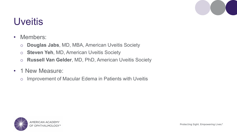

#### Uveitis

- Members:
	- o **Douglas Jabs**, MD, MBA, American Uveitis Society
	- o **Steven Yeh**, MD, American Uveitis Society
	- o **Russell Van Gelder**, MD, PhD, American Uveitis Society
- 1 New Measure:
	- o Improvement of Macular Edema in Patients with Uveitis

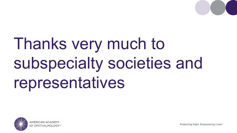

# Thanks very much to subspecialty societies and representatives



Protecting Sight. Empowering Lives.®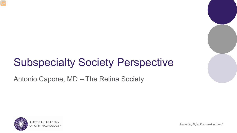### Subspecialty Society Perspective

Antonio Capone, MD – The Retina Society

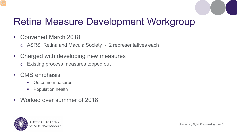

#### Retina Measure Development Workgroup

- Convened March 2018
	- o ASRS, Retina and Macula Society 2 representatives each
- Charged with developing new measures
	- o Existing process measures topped out
- CMS emphasis
	- **•** Outcome measures
	- **•** Population health
- Worked over summer of 2018

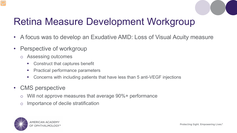

#### Retina Measure Development Workgroup

- A focus was to develop an Exudative AMD: Loss of Visual Acuity measure
- Perspective of workgroup
	- o Assessing outcomes
		- Construct that captures benefit
		- **Practical performance parameters**
		- Concerns with including patients that have less than 5 anti-VEGF injections
- CMS perspective
	- o Will not approve measures that average 90%+ performance
	- o Importance of decile stratification

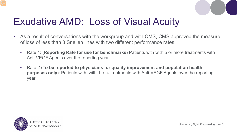

#### Exudative AMD: Loss of Visual Acuity

- As a result of conversations with the workgroup and with CMS, CMS approved the measure of loss of less than 3 Snellen lines with two different performance rates:
	- Rate 1: (**Reporting Rate for use for benchmarks**) Patients with with 5 or more treatments with Anti-VEGF Agents over the reporting year.
	- Rate 2 **(To be reported to physicians for quality improvement and population health purposes only**): Patients with with 1 to 4 treatments with Anti-VEGF Agents over the reporting year

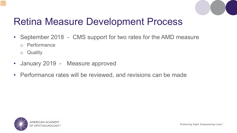

#### Retina Measure Development Process

- September 2018 CMS support for two rates for the AMD measure
	- o Performance
	- o Quality
- January 2019 Measure approved
- Performance rates will be reviewed, and revisions can be made